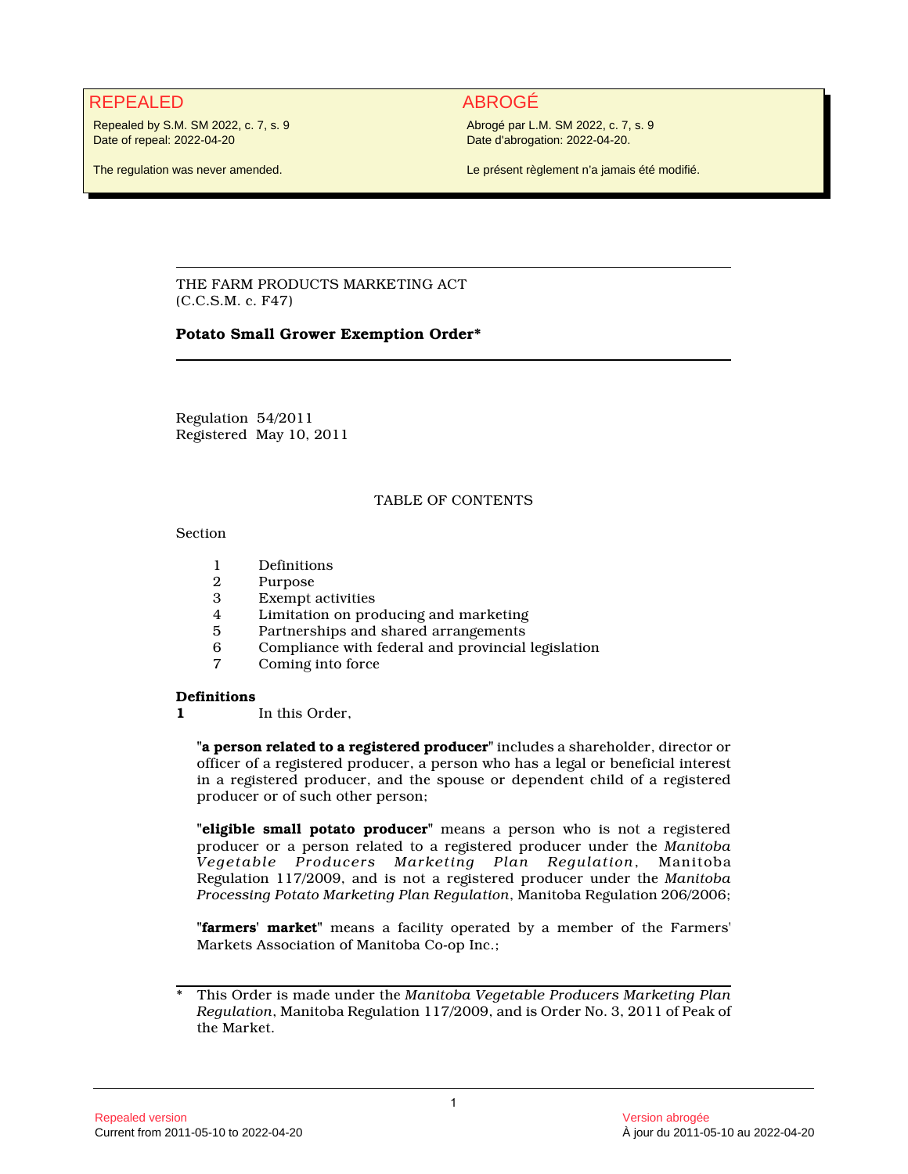# REPEALED ABROGÉ

Repealed by S.M. SM 2022, c. 7, s. 9 Date of repeal: 2022-04-20

Abrogé par L.M. SM 2022, c. 7, s. 9 Date d'abrogation: 2022-04-20.

The regulation was never amended.

Le présent règlement n'a jamais été modifié.

THE FARM PRODUCTS MARKETING ACT (C.C.S.M. c. F47)

# **Potato Small Grower Exemption Order\***

Regulation 54/2011 Registered May 10, 2011

# TABLE OF CONTENTS

Section

- 1 Definitions<br>2 Purpose
- Purpose
- 3 Exempt activities
- 4 Limitation on producing and marketing
- 5 Partnerships and shared arrangements<br>6 Compliance with federal and provincial
- 6 Compliance with federal and provincial legislation
- Coming into force

#### **Definitions**

**1** In this Order,

**"a person related to a registered producer"** includes a shareholder, director or officer of a registered producer, a person who has a legal or beneficial interest in a registered producer, and the spouse or dependent child of a registered producer or of such other person;

**"eligible small potato producer"** means a person who is not a registered producer or a person related to a registered producer under the *Manitoba Vegetable Producers Marketing Plan Regulation*, Manitoba Regulation 117/2009, and is not a registered producer under the *Manitoba Processing Potato Marketing Plan Regulation*, Manitoba Regulation 206/2006;

**"farmers' market"** means a facility operated by a member of the Farmers' Markets Association of Manitoba Co-op Inc.;

<sup>\*</sup> This Order is made under the *Manitoba Vegetable Producers Marketing Plan Regulation*, Manitoba Regulation 117/2009, and is Order No. 3, 2011 of Peak of the Market.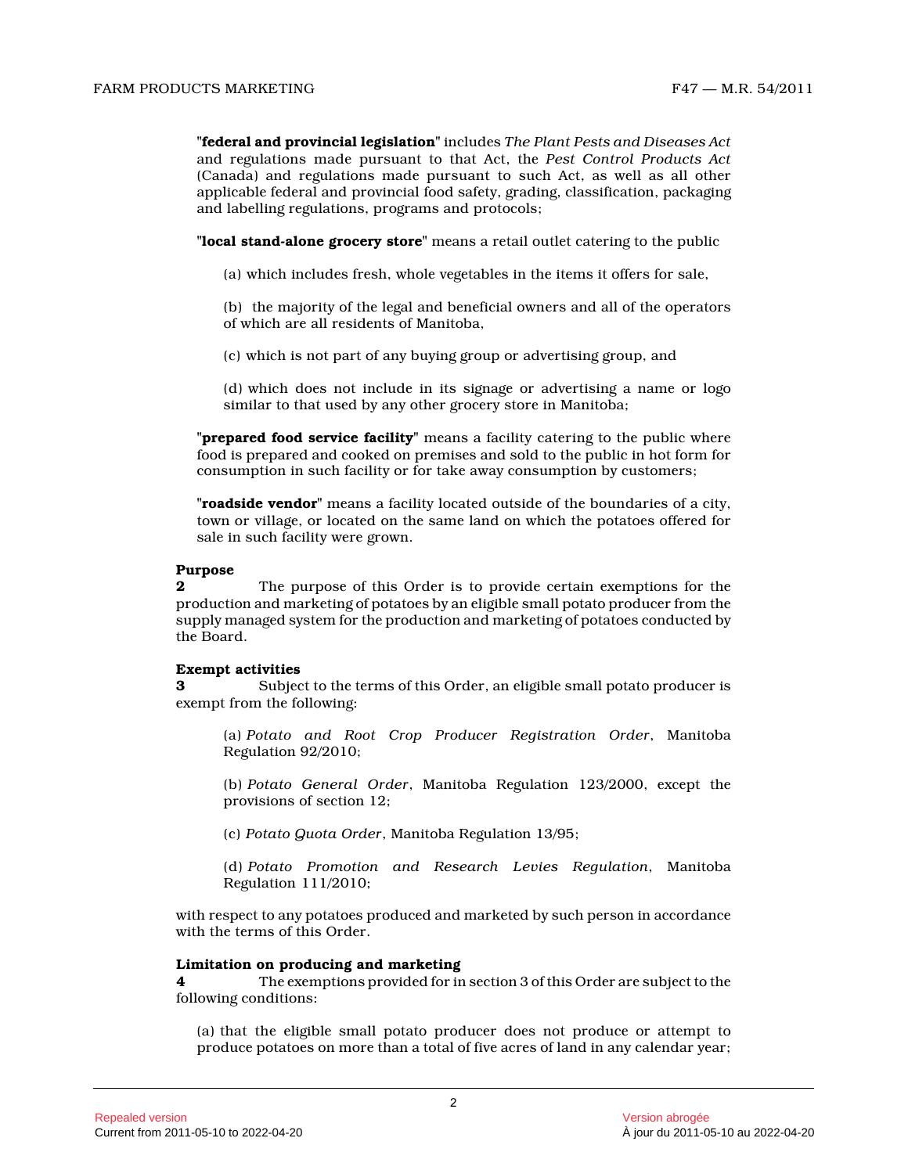**"federal and provincial legislation"** includes *The Plant Pests and Diseases Act* and regulations made pursuant to that Act, the *Pest Control Products Act* (Canada) and regulations made pursuant to such Act, as well as all other applicable federal and provincial food safety, grading, classification, packaging and labelling regulations, programs and protocols;

**"local stand-alone grocery store"** means a retail outlet catering to the public

(a) which includes fresh, whole vegetables in the items it offers for sale,

(b) the majority of the legal and beneficial owners and all of the operators of which are all residents of Manitoba,

(c) which is not part of any buying group or advertising group, and

(d) which does not include in its signage or advertising a name or logo similar to that used by any other grocery store in Manitoba;

**"prepared food service facility"** means a facility catering to the public where food is prepared and cooked on premises and sold to the public in hot form for consumption in such facility or for take away consumption by customers;

**"roadside vendor"** means a facility located outside of the boundaries of a city, town or village, or located on the same land on which the potatoes offered for sale in such facility were grown.

# **Purpose**

**2** The purpose of this Order is to provide certain exemptions for the production and marketing of potatoes by an eligible small potato producer from the supply managed system for the production and marketing of potatoes conducted by the Board.

# **Exempt activities**

**3** Subject to the terms of this Order, an eligible small potato producer is exempt from the following:

(a) *Potato and Root Crop Producer Registration Order*, Manitoba Regulation 92/2010;

(b) *Potato General Order*, Manitoba Regulation 123/2000, except the provisions of section 12;

(c) *Potato Quota Order*, Manitoba Regulation 13/95;

(d) *Potato Promotion and Research Levies Regulation*, Manitoba Regulation 111/2010;

with respect to any potatoes produced and marketed by such person in accordance with the terms of this Order.

#### **Limitation on producing and marketing**

**4** The exemptions provided for in section 3 of this Order are subject to the following conditions:

(a) that the eligible small potato producer does not produce or attempt to produce potatoes on more than a total of five acres of land in any calendar year;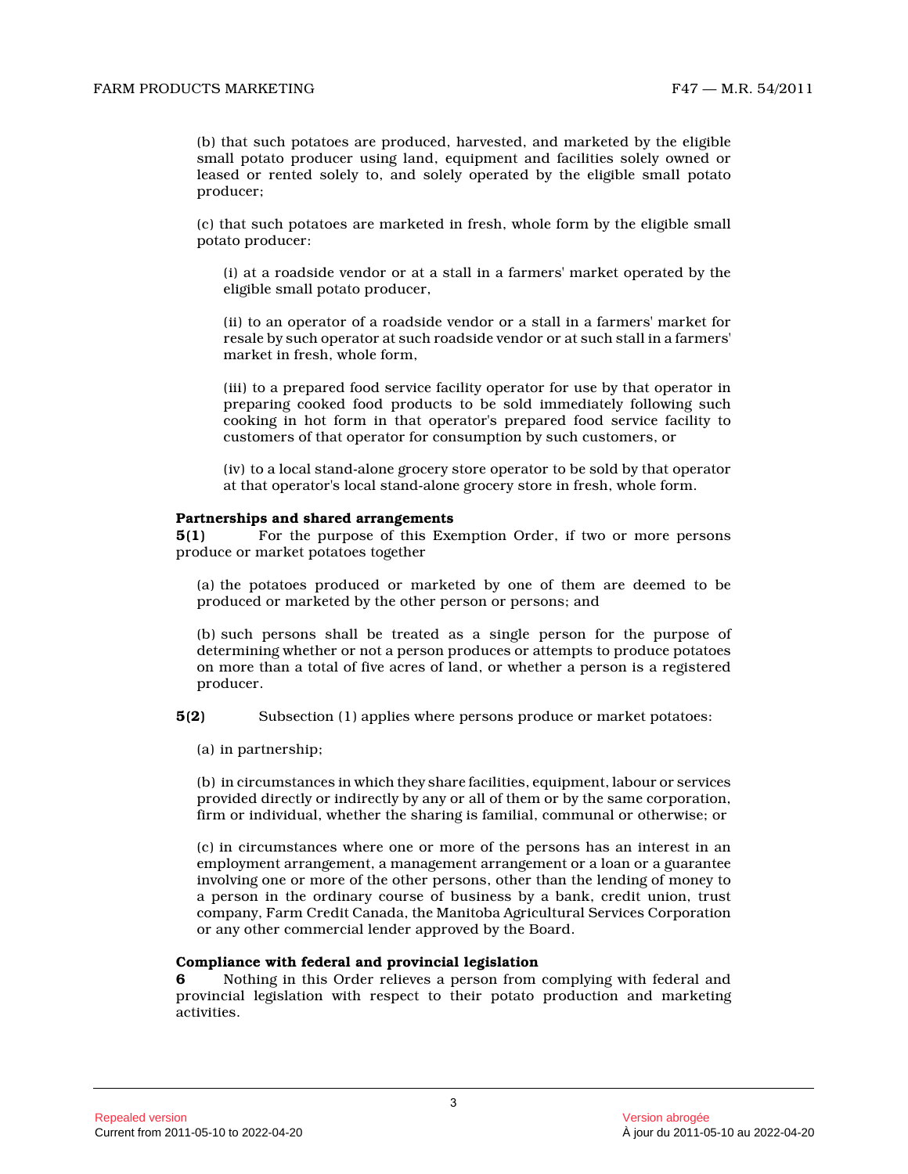(b) that such potatoes are produced, harvested, and marketed by the eligible small potato producer using land, equipment and facilities solely owned or leased or rented solely to, and solely operated by the eligible small potato producer;

(c) that such potatoes are marketed in fresh, whole form by the eligible small potato producer:

(i) at a roadside vendor or at a stall in a farmers' market operated by the eligible small potato producer,

(ii) to an operator of a roadside vendor or a stall in a farmers' market for resale by such operator at such roadside vendor or at such stall in a farmers' market in fresh, whole form,

(iii) to a prepared food service facility operator for use by that operator in preparing cooked food products to be sold immediately following such cooking in hot form in that operator's prepared food service facility to customers of that operator for consumption by such customers, or

(iv) to a local stand-alone grocery store operator to be sold by that operator at that operator's local stand-alone grocery store in fresh, whole form.

#### **Partnerships and shared arrangements**

**5(1)** For the purpose of this Exemption Order, if two or more persons produce or market potatoes together

(a) the potatoes produced or marketed by one of them are deemed to be produced or marketed by the other person or persons; and

(b) such persons shall be treated as a single person for the purpose of determining whether or not a person produces or attempts to produce potatoes on more than a total of five acres of land, or whether a person is a registered producer.

**5(2)** Subsection (1) applies where persons produce or market potatoes:

(a) in partnership;

(b) in circumstances in which they share facilities, equipment, labour or services provided directly or indirectly by any or all of them or by the same corporation, firm or individual, whether the sharing is familial, communal or otherwise; or

(c) in circumstances where one or more of the persons has an interest in an employment arrangement, a management arrangement or a loan or a guarantee involving one or more of the other persons, other than the lending of money to a person in the ordinary course of business by a bank, credit union, trust company, Farm Credit Canada, the Manitoba Agricultural Services Corporation or any other commercial lender approved by the Board.

#### **Compliance with federal and provincial legislation**

**6** Nothing in this Order relieves a person from complying with federal and provincial legislation with respect to their potato production and marketing activities.